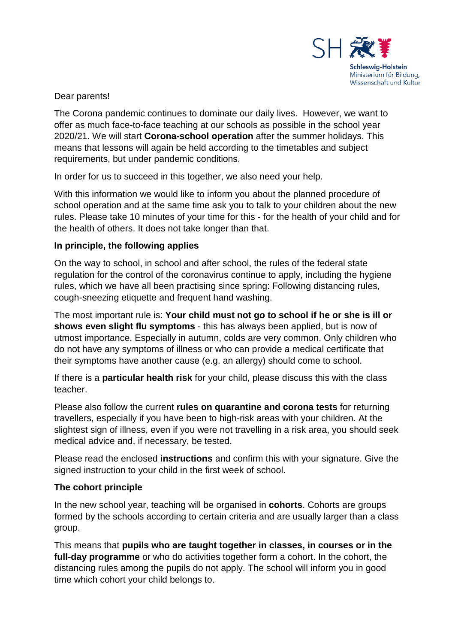

#### Dear parents!

The Corona pandemic continues to dominate our daily lives. However, we want to offer as much face-to-face teaching at our schools as possible in the school year 2020/21. We will start **Corona-school operation** after the summer holidays. This means that lessons will again be held according to the timetables and subject requirements, but under pandemic conditions.

In order for us to succeed in this together, we also need your help.

With this information we would like to inform you about the planned procedure of school operation and at the same time ask you to talk to your children about the new rules. Please take 10 minutes of your time for this - for the health of your child and for the health of others. It does not take longer than that.

#### **In principle, the following applies**

On the way to school, in school and after school, the rules of the federal state regulation for the control of the coronavirus continue to apply, including the hygiene rules, which we have all been practising since spring: Following distancing rules, cough-sneezing etiquette and frequent hand washing.

The most important rule is: **Your child must not go to school if he or she is ill or shows even slight flu symptoms** - this has always been applied, but is now of utmost importance. Especially in autumn, colds are very common. Only children who do not have any symptoms of illness or who can provide a medical certificate that their symptoms have another cause (e.g. an allergy) should come to school.

If there is a **particular health risk** for your child, please discuss this with the class teacher.

Please also follow the current **rules on quarantine and corona tests** for returning travellers, especially if you have been to high-risk areas with your children. At the slightest sign of illness, even if you were not travelling in a risk area, you should seek medical advice and, if necessary, be tested.

Please read the enclosed **instructions** and confirm this with your signature. Give the signed instruction to your child in the first week of school.

#### **The cohort principle**

In the new school year, teaching will be organised in **cohorts**. Cohorts are groups formed by the schools according to certain criteria and are usually larger than a class group.

This means that **pupils who are taught together in classes, in courses or in the full-day programme** or who do activities together form a cohort. In the cohort, the distancing rules among the pupils do not apply. The school will inform you in good time which cohort your child belongs to.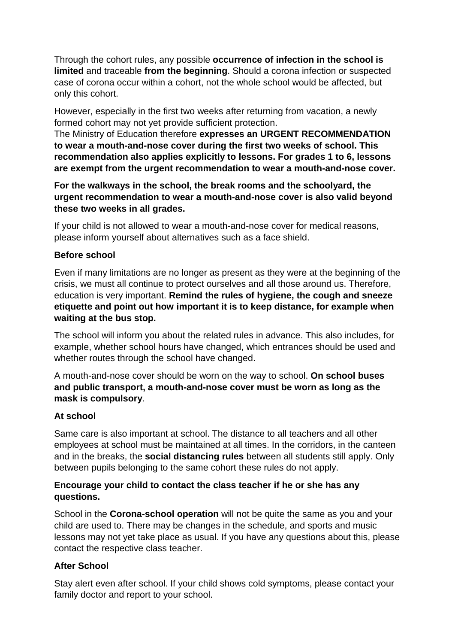Through the cohort rules, any possible **occurrence of infection in the school is limited** and traceable **from the beginning**. Should a corona infection or suspected case of corona occur within a cohort, not the whole school would be affected, but only this cohort.

However, especially in the first two weeks after returning from vacation, a newly formed cohort may not yet provide sufficient protection.

The Ministry of Education therefore **expresses an URGENT RECOMMENDATION to wear a mouth-and-nose cover during the first two weeks of school. This recommendation also applies explicitly to lessons. For grades 1 to 6, lessons are exempt from the urgent recommendation to wear a mouth-and-nose cover.**

**For the walkways in the school, the break rooms and the schoolyard, the urgent recommendation to wear a mouth-and-nose cover is also valid beyond these two weeks in all grades.**

If your child is not allowed to wear a mouth-and-nose cover for medical reasons, please inform yourself about alternatives such as a face shield.

# **Before school**

Even if many limitations are no longer as present as they were at the beginning of the crisis, we must all continue to protect ourselves and all those around us. Therefore, education is very important. **Remind the rules of hygiene, the cough and sneeze etiquette and point out how important it is to keep distance, for example when waiting at the bus stop.**

The school will inform you about the related rules in advance. This also includes, for example, whether school hours have changed, which entrances should be used and whether routes through the school have changed.

A mouth-and-nose cover should be worn on the way to school. **On school buses and public transport, a mouth-and-nose cover must be worn as long as the mask is compulsory**.

# **At school**

Same care is also important at school. The distance to all teachers and all other employees at school must be maintained at all times. In the corridors, in the canteen and in the breaks, the **social distancing rules** between all students still apply. Only between pupils belonging to the same cohort these rules do not apply.

# **Encourage your child to contact the class teacher if he or she has any questions.**

School in the **Corona-school operation** will not be quite the same as you and your child are used to. There may be changes in the schedule, and sports and music lessons may not yet take place as usual. If you have any questions about this, please contact the respective class teacher.

# **After School**

Stay alert even after school. If your child shows cold symptoms, please contact your family doctor and report to your school.